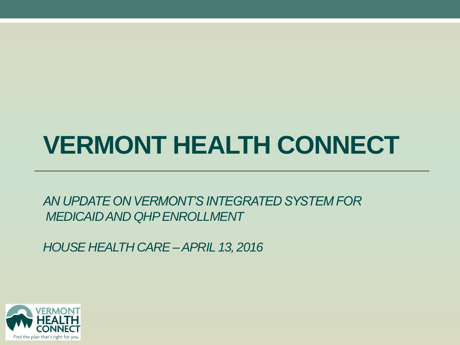### **VERMONT HEALTH CONNECT**

*AN UPDATE ON VERMONT'S INTEGRATED SYSTEM FOR MEDICAID AND QHP ENROLLMENT*

*HOUSE HEALTH CARE –APRIL 13, 2016*

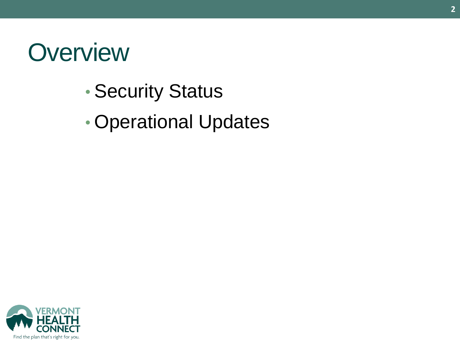### **Overview**

- Security Status
- Operational Updates

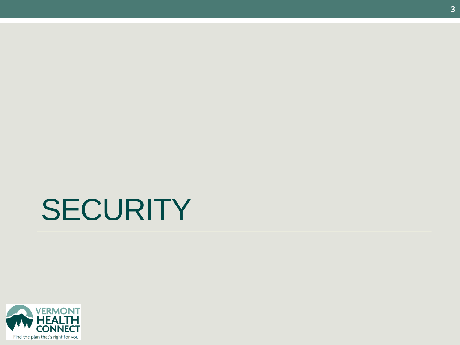# **SECURITY**

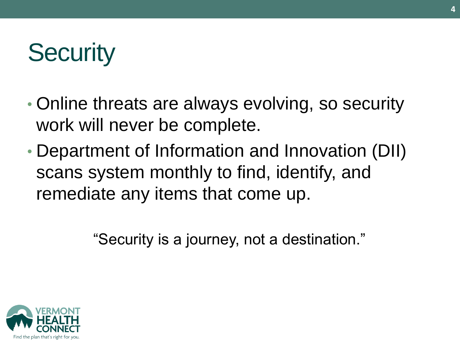## **Security**

- Online threats are always evolving, so security work will never be complete.
- Department of Information and Innovation (DII) scans system monthly to find, identify, and remediate any items that come up.

"Security is a journey, not a destination."

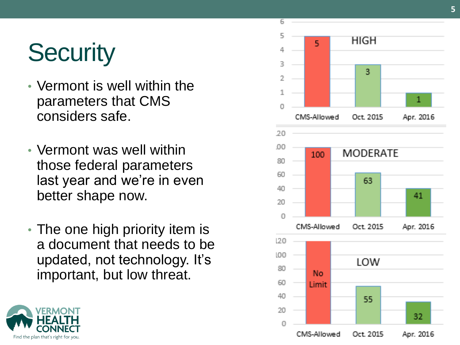# **Security**

- Vermont is well within the parameters that CMS considers safe.
- Vermont was well within those federal parameters last year and we're in even better shape now.
- The one high priority item is a document that needs to be updated, not technology. It's important, but low threat.



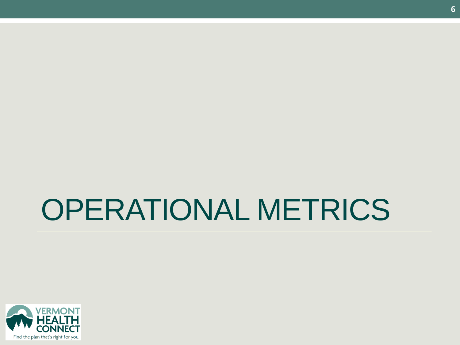# OPERATIONAL METRICS

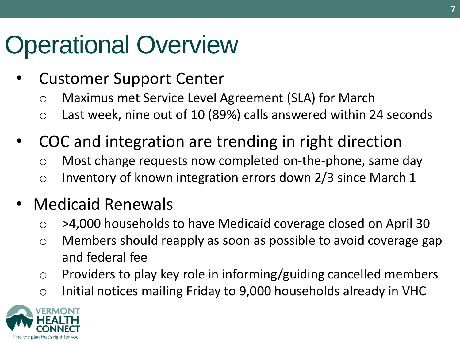### Operational Overview

- Customer Support Center
	- o Maximus met Service Level Agreement (SLA) for March
	- o Last week, nine out of 10 (89%) calls answered within 24 seconds
- COC and integration are trending in right direction
	- o Most change requests now completed on-the-phone, same day
	- o Inventory of known integration errors down 2/3 since March 1

### • Medicaid Renewals

- o >4,000 households to have Medicaid coverage closed on April 30
- o Members should reapply as soon as possible to avoid coverage gap and federal fee
- o Providers to play key role in informing/guiding cancelled members
- o Initial notices mailing Friday to 9,000 households already in VHC

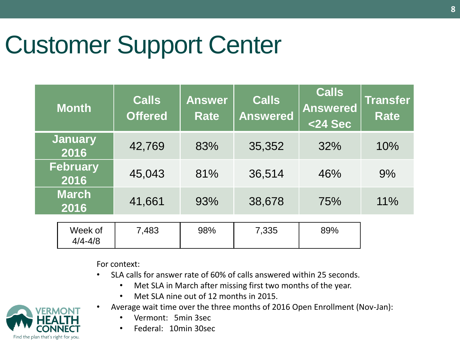### Customer Support Center

| <b>Month</b>            | <b>Calls</b><br><b>Offered</b> | <b>Answer</b><br><b>Rate</b> | <b>Calls</b><br><b>Answered</b> | <b>Calls</b><br><b>Answered</b><br><24 Sec | <b>Transfer</b><br><b>Rate</b> |
|-------------------------|--------------------------------|------------------------------|---------------------------------|--------------------------------------------|--------------------------------|
| <b>January</b><br>2016  | 42,769                         | 83%                          | 35,352                          | 32%                                        | 10%                            |
| <b>February</b><br>2016 | 45,043                         | 81%                          | 36,514                          | 46%                                        | 9%                             |
| <b>March</b><br>2016    | 41,661                         | 93%                          | 38,678                          | 75%                                        | 11%                            |
| Week of<br>$4/4 - 4/8$  | 7,483                          | 98%                          | 7,335                           | 89%                                        |                                |

For context:

- SLA calls for answer rate of 60% of calls answered within 25 seconds.
	- Met SLA in March after missing first two months of the year.
	- Met SLA nine out of 12 months in 2015.



- Vermont: 5min 3sec
- Federal: 10min 30sec

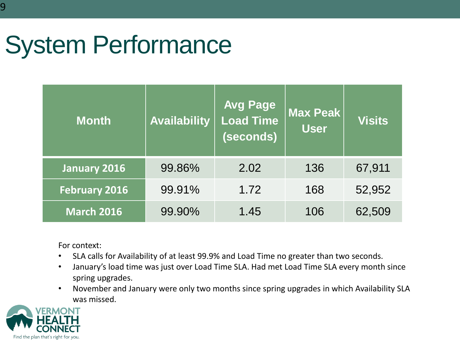### System Performance

| <b>Month</b>         | <b>Availability</b> | <b>Avg Page</b><br><b>Load Time</b><br>(seconds) | <b>Max Peak</b><br><b>User</b> | <b>Visits</b> |
|----------------------|---------------------|--------------------------------------------------|--------------------------------|---------------|
| January 2016         | 99.86%              | 2.02                                             | 136                            | 67,911        |
| <b>February 2016</b> | 99.91%              | 1.72                                             | 168                            | 52,952        |
| <b>March 2016</b>    | 99.90%              | 1.45                                             | 106                            | 62,509        |

For context:

- SLA calls for Availability of at least 99.9% and Load Time no greater than two seconds.
- January's load time was just over Load Time SLA. Had met Load Time SLA every month since spring upgrades.
- November and January were only two months since spring upgrades in which Availability SLA was missed.

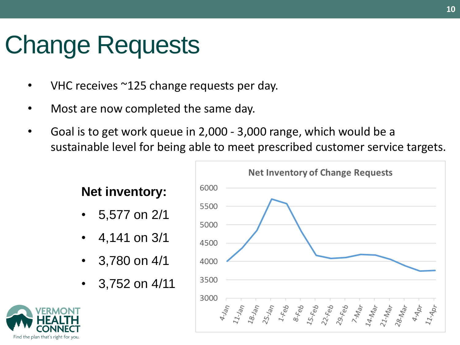### Change Requests

- VHC receives  $\sim$ 125 change requests per day.
- Most are now completed the same day.
- Goal is to get work queue in 2,000 3,000 range, which would be a sustainable level for being able to meet prescribed customer service targets.

#### **Net inventory:**

- 5,577 on 2/1
- 4,141 on 3/1
- 3,780 on 4/1
- 3,752 on 4/11